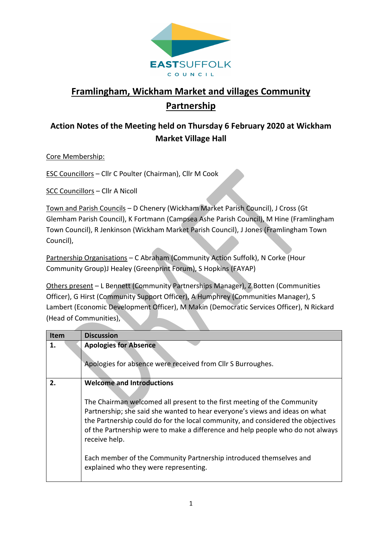

## **Framlingham, Wickham Market and villages Community Partnership**

## **Action Notes of the Meeting held on Thursday 6 February 2020 at Wickham Market Village Hall**

Core Membership:

ESC Councillors – Cllr C Poulter (Chairman), Cllr M Cook

SCC Councillors – Cllr A Nicoll

Town and Parish Councils – D Chenery (Wickham Market Parish Council), J Cross (Gt Glemham Parish Council), K Fortmann (Campsea Ashe Parish Council), M Hine (Framlingham Town Council), R Jenkinson (Wickham Market Parish Council), J Jones (Framlingham Town Council),

Partnership Organisations – C Abraham (Community Action Suffolk), N Corke (Hour Community Group)J Healey (Greenprint Forum), S Hopkins (FAYAP)

Others present – L Bennett (Community Partnerships Manager), Z Botten (Communities Officer), G Hirst (Community Support Officer), A Humphrey (Communities Manager), S Lambert (Economic Development Officer), M Makin (Democratic Services Officer), N Rickard (Head of Communities),

| <b>Item</b> | <b>Discussion</b>                                                                                                                                                                                                                                                                                                                                                                                                                                                                               |
|-------------|-------------------------------------------------------------------------------------------------------------------------------------------------------------------------------------------------------------------------------------------------------------------------------------------------------------------------------------------------------------------------------------------------------------------------------------------------------------------------------------------------|
| 1.          | <b>Apologies for Absence</b><br>Apologies for absence were received from Cllr S Burroughes.                                                                                                                                                                                                                                                                                                                                                                                                     |
| 2.          | <b>Welcome and Introductions</b><br>The Chairman welcomed all present to the first meeting of the Community<br>Partnership; she said she wanted to hear everyone's views and ideas on what<br>the Partnership could do for the local community, and considered the objectives<br>of the Partnership were to make a difference and help people who do not always<br>receive help.<br>Each member of the Community Partnership introduced themselves and<br>explained who they were representing. |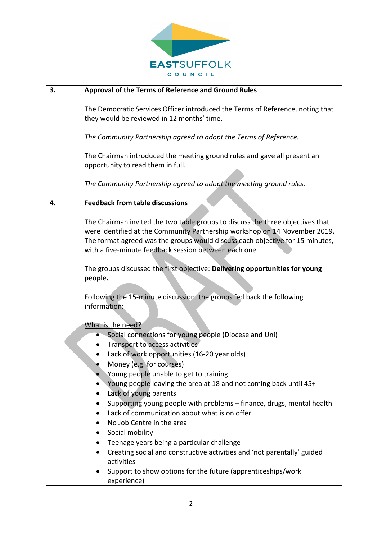

| 3. | Approval of the Terms of Reference and Ground Rules                                                                                                                                                                                                                                                                                                                                                                                                                                    |
|----|----------------------------------------------------------------------------------------------------------------------------------------------------------------------------------------------------------------------------------------------------------------------------------------------------------------------------------------------------------------------------------------------------------------------------------------------------------------------------------------|
|    | The Democratic Services Officer introduced the Terms of Reference, noting that<br>they would be reviewed in 12 months' time.                                                                                                                                                                                                                                                                                                                                                           |
|    | The Community Partnership agreed to adopt the Terms of Reference.                                                                                                                                                                                                                                                                                                                                                                                                                      |
|    | The Chairman introduced the meeting ground rules and gave all present an<br>opportunity to read them in full.                                                                                                                                                                                                                                                                                                                                                                          |
|    | The Community Partnership agreed to adopt the meeting ground rules.                                                                                                                                                                                                                                                                                                                                                                                                                    |
| 4. | <b>Feedback from table discussions</b>                                                                                                                                                                                                                                                                                                                                                                                                                                                 |
|    | The Chairman invited the two table groups to discuss the three objectives that<br>were identified at the Community Partnership workshop on 14 November 2019.<br>The format agreed was the groups would discuss each objective for 15 minutes,<br>with a five-minute feedback session between each one.                                                                                                                                                                                 |
|    | The groups discussed the first objective: Delivering opportunities for young<br>people.                                                                                                                                                                                                                                                                                                                                                                                                |
|    | Following the 15-minute discussion, the groups fed back the following<br>information:                                                                                                                                                                                                                                                                                                                                                                                                  |
|    | What is the need?<br>Social connections for young people (Diocese and Uni)<br>Transport to access activities<br>Lack of work opportunities (16-20 year olds)<br>Money (e.g. for courses)<br>Young people unable to get to training<br>Young people leaving the area at 18 and not coming back until 45+<br>Lack of young parents<br>Supporting young people with problems - finance, drugs, mental health<br>Lack of communication about what is on offer<br>No Job Centre in the area |
|    | Social mobility<br>Teenage years being a particular challenge<br>Creating social and constructive activities and 'not parentally' guided<br>activities<br>Support to show options for the future (apprenticeships/work<br>experience)                                                                                                                                                                                                                                                  |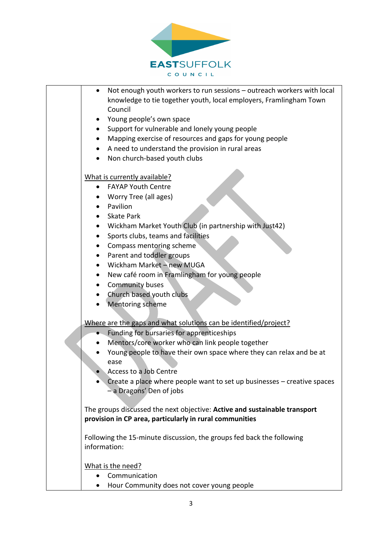

| Not enough youth workers to run sessions - outreach workers with local<br>$\bullet$ |
|-------------------------------------------------------------------------------------|
| knowledge to tie together youth, local employers, Framlingham Town<br>Council       |
|                                                                                     |
| Young people's own space                                                            |
| Support for vulnerable and lonely young people                                      |
| Mapping exercise of resources and gaps for young people<br>$\bullet$                |
| A need to understand the provision in rural areas<br>$\bullet$                      |
| Non church-based youth clubs                                                        |
| What is currently available?                                                        |
| <b>FAYAP Youth Centre</b><br>$\bullet$                                              |
| Worry Tree (all ages)                                                               |
| Pavilion                                                                            |
| <b>Skate Park</b>                                                                   |
| Wickham Market Youth Club (in partnership with Just42)                              |
| Sports clubs, teams and facilities<br>$\bullet$                                     |
| Compass mentoring scheme<br>$\bullet$                                               |
| Parent and toddler groups                                                           |
| Wickham Market - new MUGA                                                           |
| New café room in Framlingham for young people<br>$\bullet$                          |
| Community buses<br>٠                                                                |
| Church based youth clubs<br>٠                                                       |
| <b>Mentoring scheme</b>                                                             |
| Where are the gaps and what solutions can be identified/project?                    |
| Funding for bursaries for apprenticeships                                           |
| Mentors/core worker who can link people together                                    |
| Young people to have their own space where they can relax and be at                 |
| ease                                                                                |
| Access to a Job Centre                                                              |
| Create a place where people want to set up businesses $-$ creative spaces           |
| - a Dragons' Den of jobs                                                            |
|                                                                                     |
| The groups discussed the next objective: Active and sustainable transport           |
| provision in CP area, particularly in rural communities                             |
| Following the 15-minute discussion, the groups fed back the following               |
| information:                                                                        |
| What is the need?                                                                   |
| Communication<br>$\bullet$                                                          |
| Hour Community does not cover young people<br>٠                                     |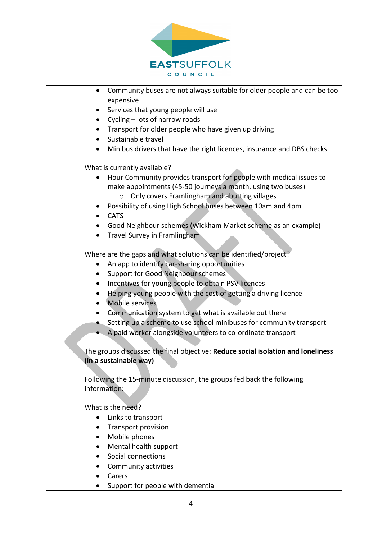

| Community buses are not always suitable for older people and can be too<br>$\bullet$ |
|--------------------------------------------------------------------------------------|
| expensive                                                                            |
| Services that young people will use<br>$\bullet$                                     |
| Cycling - lots of narrow roads<br>$\bullet$                                          |
| Transport for older people who have given up driving<br>$\bullet$                    |
| Sustainable travel                                                                   |
| Minibus drivers that have the right licences, insurance and DBS checks               |
| What is currently available?                                                         |
| Hour Community provides transport for people with medical issues to<br>$\bullet$     |
| make appointments (45-50 journeys a month, using two buses)                          |
| o Only covers Framlingham and abutting villages                                      |
| Possibility of using High School buses between 10am and 4pm<br>$\bullet$             |
| <b>CATS</b>                                                                          |
| Good Neighbour schemes (Wickham Market scheme as an example)                         |
| Travel Survey in Framlingham                                                         |
| Where are the gaps and what solutions can be identified/project?                     |
| An app to identify car-sharing opportunities<br>$\bullet$                            |
| <b>Support for Good Neighbour schemes</b>                                            |
| Incentives for young people to obtain PSV licences<br>$\bullet$                      |
| Helping young people with the cost of getting a driving licence                      |
| • Mobile services                                                                    |
| Communication system to get what is available out there                              |
| • Setting up a scheme to use school minibuses for community transport                |
| A paid worker alongside volunteers to co-ordinate transport                          |
| The groups discussed the final objective: Reduce social isolation and loneliness     |
| (in a sustainable way)                                                               |
| Following the 15-minute discussion, the groups fed back the following                |
| information:                                                                         |
|                                                                                      |
| What is the need?                                                                    |
| Links to transport<br>$\bullet$                                                      |
| <b>Transport provision</b>                                                           |
| Mobile phones<br>٠                                                                   |
| Mental health support                                                                |
| Social connections                                                                   |
| Community activities                                                                 |
| Carers                                                                               |
| Support for people with dementia                                                     |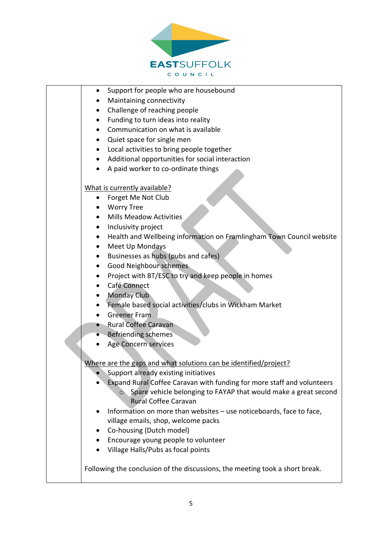

| Support for people who are housebound<br>٠                                        |
|-----------------------------------------------------------------------------------|
| Maintaining connectivity                                                          |
| Challenge of reaching people<br>٠                                                 |
| Funding to turn ideas into reality                                                |
| Communication on what is available<br>$\bullet$                                   |
| Quiet space for single men<br>$\bullet$                                           |
| Local activities to bring people together<br>$\bullet$                            |
| Additional opportunities for social interaction<br>$\bullet$                      |
| A paid worker to co-ordinate things                                               |
|                                                                                   |
| What is currently available?                                                      |
| Forget Me Not Club<br>٠                                                           |
| <b>Worry Tree</b>                                                                 |
| <b>Mills Meadow Activities</b><br>$\bullet$                                       |
| Inclusivity project<br>٠                                                          |
| Health and Wellbeing information on Framlingham Town Council website<br>$\bullet$ |
| Meet Up Mondays                                                                   |
| Businesses as hubs (pubs and cafes)<br>$\bullet$                                  |
| <b>Good Neighbour schemes</b>                                                     |
| Project with BT/ESC to try and keep people in homes                               |
| Café Connect<br>٠                                                                 |
| <b>Monday Club</b>                                                                |
| Female based social activities/clubs in Wickham Market                            |
| <b>Greener Fram</b>                                                               |
| • Rural Coffee Caravan                                                            |
| <b>Befriending schemes</b>                                                        |
| Age Concern services                                                              |
|                                                                                   |
| Where are the gaps and what solutions can be identified/project?                  |
| Support already existing initiatives                                              |
| Expand Rural Coffee Caravan with funding for more staff and volunteers            |
| ○ Spare vehicle belonging to FAYAP that would make a great second                 |
| <b>Rural Coffee Caravan</b>                                                       |
| Information on more than websites - use noticeboards, face to face,               |
| village emails, shop, welcome packs                                               |
| Co-housing (Dutch model)                                                          |
| Encourage young people to volunteer                                               |
| Village Halls/Pubs as focal points                                                |
| Following the conclusion of the discussions, the meeting took a short break.      |
|                                                                                   |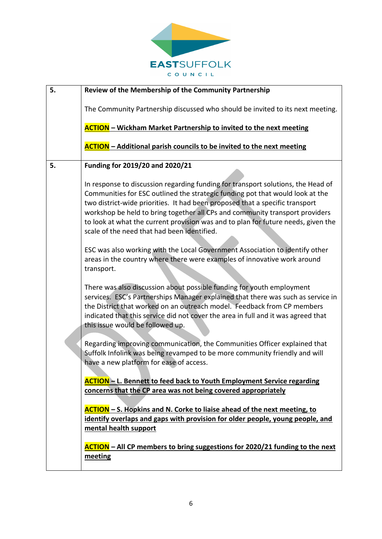

| 5. | Review of the Membership of the Community Partnership                                                                                                                                                                                                                                                                                                                                                                                                                 |
|----|-----------------------------------------------------------------------------------------------------------------------------------------------------------------------------------------------------------------------------------------------------------------------------------------------------------------------------------------------------------------------------------------------------------------------------------------------------------------------|
|    | The Community Partnership discussed who should be invited to its next meeting.                                                                                                                                                                                                                                                                                                                                                                                        |
|    | <b>ACTION</b> – Wickham Market Partnership to invited to the next meeting                                                                                                                                                                                                                                                                                                                                                                                             |
|    | <b>ACTION</b> - Additional parish councils to be invited to the next meeting                                                                                                                                                                                                                                                                                                                                                                                          |
| 5. | Funding for 2019/20 and 2020/21                                                                                                                                                                                                                                                                                                                                                                                                                                       |
|    | In response to discussion regarding funding for transport solutions, the Head of<br>Communities for ESC outlined the strategic funding pot that would look at the<br>two district-wide priorities. It had been proposed that a specific transport<br>workshop be held to bring together all CPs and community transport providers<br>to look at what the current provision was and to plan for future needs, given the<br>scale of the need that had been identified. |
|    | ESC was also working with the Local Government Association to identify other<br>areas in the country where there were examples of innovative work around<br>transport.                                                                                                                                                                                                                                                                                                |
|    | There was also discussion about possible funding for youth employment<br>services. ESC's Partnerships Manager explained that there was such as service in<br>the District that worked on an outreach model. Feedback from CP members<br>indicated that this service did not cover the area in full and it was agreed that<br>this issue would be followed up.                                                                                                         |
|    | Regarding improving communication, the Communities Officer explained that<br>Suffolk Infolink was being revamped to be more community friendly and will<br>have a new platform for ease of access.                                                                                                                                                                                                                                                                    |
|    | <b>ACTION</b> - L. Bennett to feed back to Youth Employment Service regarding<br>concerns that the CP area was not being covered appropriately                                                                                                                                                                                                                                                                                                                        |
|    | <b>ACTION</b> – S. Hopkins and N. Corke to liaise ahead of the next meeting, to<br>identify overlaps and gaps with provision for older people, young people, and<br>mental health support                                                                                                                                                                                                                                                                             |
|    | <b>ACTION</b> – All CP members to bring suggestions for 2020/21 funding to the next<br>meeting                                                                                                                                                                                                                                                                                                                                                                        |